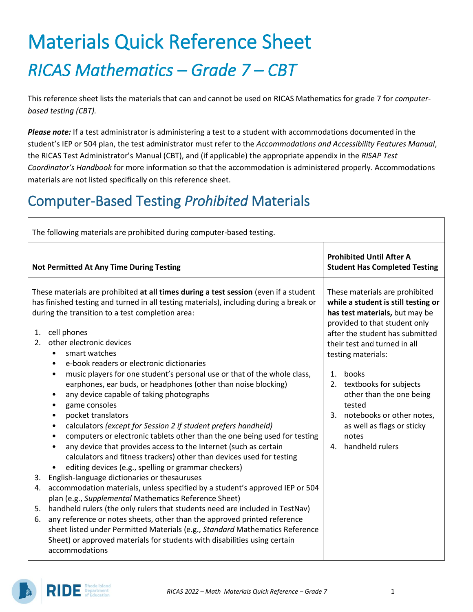# Materials Quick Reference Sheet *RICAS Mathematics – Grade 7 – CBT*

This reference sheet lists the materials that can and cannot be used on RICAS Mathematics for grade 7 for *computerbased testing (CBT).*

*Please note:* If a test administrator is administering a test to a student with accommodations documented in the student's IEP or 504 plan, the test administrator must refer to the *Accommodations and Accessibility Features Manual*, the RICAS Test Administrator's Manual (CBT), and (if applicable) the appropriate appendix in the *RISAP Test Coordinator's Handbook* for more information so that the accommodation is administered properly. Accommodations materials are not listed specifically on this reference sheet.

### Computer-Based Testing *Prohibited* Materials

| The following materials are prohibited during computer-based testing.                                                                                                                                                                                                                                                        |  |  |  |  |  |
|------------------------------------------------------------------------------------------------------------------------------------------------------------------------------------------------------------------------------------------------------------------------------------------------------------------------------|--|--|--|--|--|
| <b>Prohibited Until After A</b><br><b>Student Has Completed Testing</b>                                                                                                                                                                                                                                                      |  |  |  |  |  |
| These materials are prohibited<br>while a student is still testing or<br>has test materials, but may be<br>provided to that student only<br>after the student has submitted<br>their test and turned in all<br>testing materials:<br>$1_{\cdot}$<br>books<br>2. textbooks for subjects<br>other than the one being<br>tested |  |  |  |  |  |
| 3. notebooks or other notes,<br>as well as flags or sticky<br>notes<br>4. handheld rulers                                                                                                                                                                                                                                    |  |  |  |  |  |
|                                                                                                                                                                                                                                                                                                                              |  |  |  |  |  |

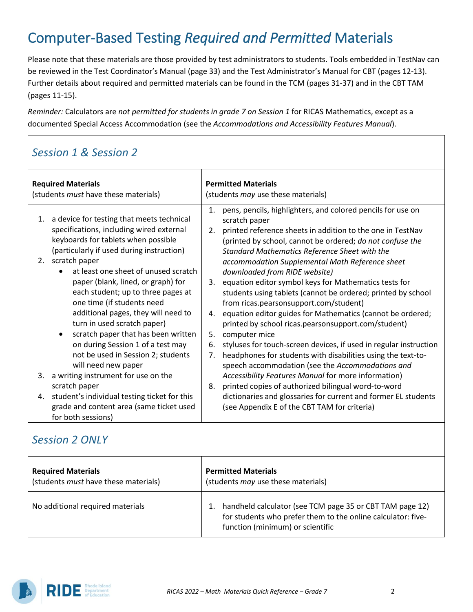## Computer-Based Testing *Required and Permitted* Materials

Please note that these materials are those provided by test administrators to students. Tools embedded in TestNav can be reviewed in the Test Coordinator's Manual (page 33) and the Test Administrator's Manual for CBT (pages 12-13). Further details about required and permitted materials can be found in the TCM (pages 31-37) and in the CBT TAM (pages 11-15).

*Reminder:* Calculators are *not permitted for students in grade 7 on Session 1* for RICAS Mathematics, except as a documented Special Access Accommodation (see the *Accommodations and Accessibility Features Manual*).

#### *Session 1 & Session 2*

| <b>Required Materials</b><br>(students <i>must</i> have these materials) |                                                                                                                                                                                                                                                                                                                                                                                                                                                                                                                                                                          | <b>Permitted Materials</b><br>(students <i>may</i> use these materials) |                                                                                                                                                                                                                                                                                                                                                                                                                                                                                                                                                                                                                                                                                                                                                                                                                                                |  |  |
|--------------------------------------------------------------------------|--------------------------------------------------------------------------------------------------------------------------------------------------------------------------------------------------------------------------------------------------------------------------------------------------------------------------------------------------------------------------------------------------------------------------------------------------------------------------------------------------------------------------------------------------------------------------|-------------------------------------------------------------------------|------------------------------------------------------------------------------------------------------------------------------------------------------------------------------------------------------------------------------------------------------------------------------------------------------------------------------------------------------------------------------------------------------------------------------------------------------------------------------------------------------------------------------------------------------------------------------------------------------------------------------------------------------------------------------------------------------------------------------------------------------------------------------------------------------------------------------------------------|--|--|
| 1.<br>2.                                                                 | a device for testing that meets technical<br>specifications, including wired external<br>keyboards for tablets when possible<br>(particularly if used during instruction)<br>scratch paper<br>at least one sheet of unused scratch<br>paper (blank, lined, or graph) for<br>each student; up to three pages at<br>one time (if students need<br>additional pages, they will need to<br>turn in used scratch paper)<br>scratch paper that has been written<br>$\bullet$<br>on during Session 1 of a test may<br>not be used in Session 2; students<br>will need new paper | 1.<br>2.<br>3.<br>4.<br>5.<br>6.<br>7.                                  | pens, pencils, highlighters, and colored pencils for use on<br>scratch paper<br>printed reference sheets in addition to the one in TestNav<br>(printed by school, cannot be ordered; do not confuse the<br>Standard Mathematics Reference Sheet with the<br>accommodation Supplemental Math Reference sheet<br>downloaded from RIDE website)<br>equation editor symbol keys for Mathematics tests for<br>students using tablets (cannot be ordered; printed by school<br>from ricas.pearsonsupport.com/student)<br>equation editor guides for Mathematics (cannot be ordered;<br>printed by school ricas.pearsonsupport.com/student)<br>computer mice<br>styluses for touch-screen devices, if used in regular instruction<br>headphones for students with disabilities using the text-to-<br>speech accommodation (see the Accommodations and |  |  |
| 3.                                                                       | a writing instrument for use on the                                                                                                                                                                                                                                                                                                                                                                                                                                                                                                                                      |                                                                         | Accessibility Features Manual for more information)                                                                                                                                                                                                                                                                                                                                                                                                                                                                                                                                                                                                                                                                                                                                                                                            |  |  |
| 4.                                                                       | scratch paper<br>student's individual testing ticket for this<br>grade and content area (same ticket used<br>for both sessions)                                                                                                                                                                                                                                                                                                                                                                                                                                          | 8.                                                                      | printed copies of authorized bilingual word-to-word<br>dictionaries and glossaries for current and former EL students<br>(see Appendix E of the CBT TAM for criteria)                                                                                                                                                                                                                                                                                                                                                                                                                                                                                                                                                                                                                                                                          |  |  |

#### *Session 2 ONLY*

| <b>Required Materials</b>                   | <b>Permitted Materials</b>                                                                                                                                   |
|---------------------------------------------|--------------------------------------------------------------------------------------------------------------------------------------------------------------|
| (students <i>must</i> have these materials) | (students <i>may</i> use these materials)                                                                                                                    |
| No additional required materials            | handheld calculator (see TCM page 35 or CBT TAM page 12)<br>for students who prefer them to the online calculator: five-<br>function (minimum) or scientific |

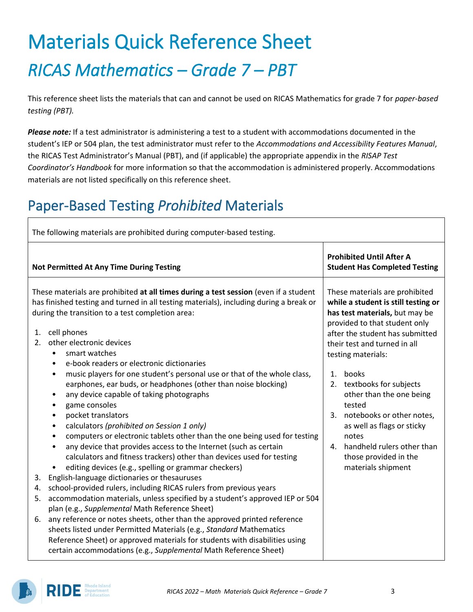# Materials Quick Reference Sheet *RICAS Mathematics – Grade 7 – PBT*

This reference sheet lists the materials that can and cannot be used on RICAS Mathematics for grade 7 for *paper-based testing (PBT).*

*Please note:* If a test administrator is administering a test to a student with accommodations documented in the student's IEP or 504 plan, the test administrator must refer to the *Accommodations and Accessibility Features Manual*, the RICAS Test Administrator's Manual (PBT), and (if applicable) the appropriate appendix in the *RISAP Test Coordinator's Handbook* for more information so that the accommodation is administered properly. Accommodations materials are not listed specifically on this reference sheet.

## Paper-Based Testing *Prohibited* Materials

| The following materials are prohibited during computer-based testing.                               |                                                                                                                                                                                                                                                                                                                                                                                                                                                                                   |    |                                                                                                                                                                                                                                            |  |  |
|-----------------------------------------------------------------------------------------------------|-----------------------------------------------------------------------------------------------------------------------------------------------------------------------------------------------------------------------------------------------------------------------------------------------------------------------------------------------------------------------------------------------------------------------------------------------------------------------------------|----|--------------------------------------------------------------------------------------------------------------------------------------------------------------------------------------------------------------------------------------------|--|--|
| <b>Not Permitted At Any Time During Testing</b>                                                     |                                                                                                                                                                                                                                                                                                                                                                                                                                                                                   |    | <b>Prohibited Until After A</b><br><b>Student Has Completed Testing</b>                                                                                                                                                                    |  |  |
| cell phones<br>1.<br>other electronic devices<br>2.<br>smart watches<br>$\bullet$<br>$\bullet$<br>٠ | These materials are prohibited at all times during a test session (even if a student<br>has finished testing and turned in all testing materials), including during a break or<br>during the transition to a test completion area:<br>e-book readers or electronic dictionaries<br>music players for one student's personal use or that of the whole class,                                                                                                                       | 1. | These materials are prohibited<br>while a student is still testing or<br>has test materials, but may be<br>provided to that student only<br>after the student has submitted<br>their test and turned in all<br>testing materials:<br>books |  |  |
| ٠<br>٠<br>٠<br>٠<br>$\bullet$<br>٠<br>٠                                                             | earphones, ear buds, or headphones (other than noise blocking)<br>any device capable of taking photographs<br>game consoles<br>pocket translators<br>calculators (prohibited on Session 1 only)<br>computers or electronic tablets other than the one being used for testing<br>any device that provides access to the Internet (such as certain<br>calculators and fitness trackers) other than devices used for testing<br>editing devices (e.g., spelling or grammar checkers) | 4. | 2. textbooks for subjects<br>other than the one being<br>tested<br>3. notebooks or other notes,<br>as well as flags or sticky<br>notes<br>handheld rulers other than<br>those provided in the<br>materials shipment                        |  |  |
| 3.                                                                                                  | English-language dictionaries or thesauruses                                                                                                                                                                                                                                                                                                                                                                                                                                      |    |                                                                                                                                                                                                                                            |  |  |
| 4.                                                                                                  | school-provided rulers, including RICAS rulers from previous years                                                                                                                                                                                                                                                                                                                                                                                                                |    |                                                                                                                                                                                                                                            |  |  |
| 5.                                                                                                  | accommodation materials, unless specified by a student's approved IEP or 504<br>plan (e.g., Supplemental Math Reference Sheet)                                                                                                                                                                                                                                                                                                                                                    |    |                                                                                                                                                                                                                                            |  |  |
| 6.                                                                                                  | any reference or notes sheets, other than the approved printed reference<br>sheets listed under Permitted Materials (e.g., Standard Mathematics<br>Reference Sheet) or approved materials for students with disabilities using<br>certain accommodations (e.g., Supplemental Math Reference Sheet)                                                                                                                                                                                |    |                                                                                                                                                                                                                                            |  |  |